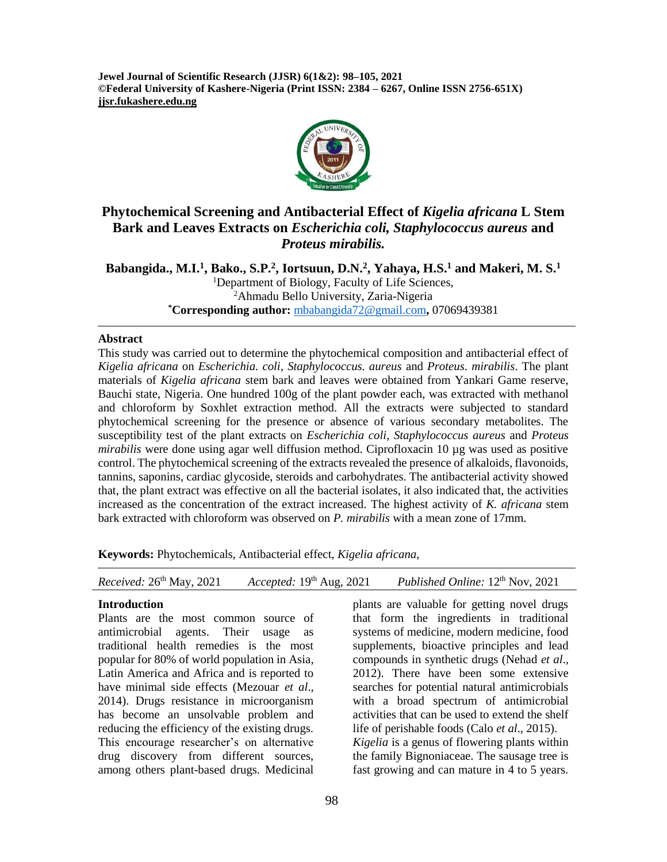**Jewel Journal of Scientific Research (JJSR) 6(1&2): 98–105, 2021 ©Federal University of Kashere-Nigeria (Print ISSN: 2384 – 6267, Online ISSN 2756-651X) jjsr.fukashere.edu.ng**



# **Phytochemical Screening and Antibacterial Effect of** *Kigelia africana* **L Stem Bark and Leaves Extracts on** *Escherichia coli, Staphylococcus aureus* **and** *Proteus mirabilis.*

**Babangida., M.I.<sup>1</sup> , Bako., S.P.<sup>2</sup> , Iortsuun, D.N.<sup>2</sup> , Yahaya, H.S.<sup>1</sup> and Makeri, M. S.<sup>1</sup>** <sup>1</sup>Department of Biology, Faculty of Life Sciences, <sup>2</sup>Ahmadu Bello University, Zaria-Nigeria **\*Corresponding author:** [mbabangida72@gmail.com](mailto:mbabangida72@gmail.com)**,** 07069439381

#### **Abstract**

This study was carried out to determine the phytochemical composition and antibacterial effect of *Kigelia africana* on *Escherichia. coli*, *Staphylococcus. aureus* and *Proteus. mirabilis*. The plant materials of *Kigelia africana* stem bark and leaves were obtained from Yankari Game reserve, Bauchi state, Nigeria. One hundred 100g of the plant powder each, was extracted with methanol and chloroform by Soxhlet extraction method. All the extracts were subjected to standard phytochemical screening for the presence or absence of various secondary metabolites. The susceptibility test of the plant extracts on *Escherichia coli, Staphylococcus aureus* and *Proteus mirabilis* were done using agar well diffusion method. Ciprofloxacin 10 µg was used as positive control. The phytochemical screening of the extracts revealed the presence of alkaloids, flavonoids, tannins, saponins, cardiac glycoside, steroids and carbohydrates. The antibacterial activity showed that, the plant extract was effective on all the bacterial isolates, it also indicated that, the activities increased as the concentration of the extract increased. The highest activity of *K. africana* stem bark extracted with chloroform was observed on *P. mirabilis* with a mean zone of 17mm.

**Keywords:** Phytochemicals, Antibacterial effect, *Kigelia africana*,

### **Introduction**

Plants are the most common source of antimicrobial agents. Their usage as traditional health remedies is the most popular for 80% of world population in Asia, Latin America and Africa and is reported to have minimal side effects (Mezouar *et al*., 2014). Drugs resistance in microorganism has become an unsolvable problem and reducing the efficiency of the existing drugs. This encourage researcher's on alternative drug discovery from different sources, among others plant-based drugs. Medicinal

plants are valuable for getting novel drugs that form the ingredients in traditional systems of medicine, modern medicine, food supplements, bioactive principles and lead compounds in synthetic drugs (Nehad *et al*., 2012). There have been some extensive searches for potential natural antimicrobials with a broad spectrum of antimicrobial activities that can be used to extend the shelf life of perishable foods (Calo *et al*., 2015). *Kigelia* is a genus of flowering plants within the family Bignoniaceae. The sausage tree is fast growing and can mature in 4 to 5 years.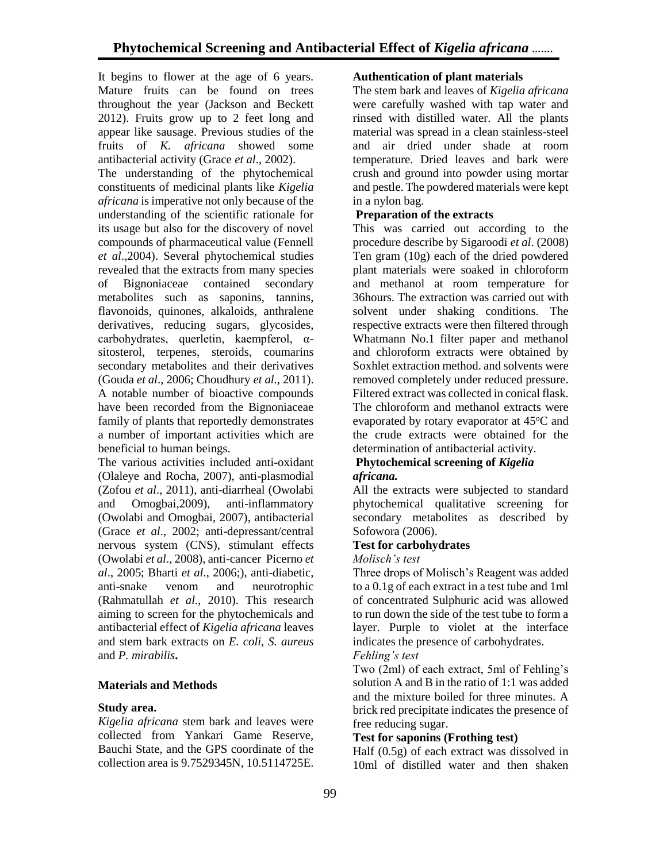It begins to flower at the age of 6 years. Mature fruits can be found on trees throughout the year (Jackson and Beckett 2012). Fruits grow up to 2 feet long and appear like sausage. Previous studies of the fruits of *K. africana* showed some antibacterial activity (Grace *et al*., 2002).

The understanding of the phytochemical constituents of medicinal plants like *Kigelia africana* is imperative not only because of the understanding of the scientific rationale for its usage but also for the discovery of novel compounds of pharmaceutical value (Fennell *et al*.,2004). Several phytochemical studies revealed that the extracts from many species of Bignoniaceae contained secondary metabolites such as saponins, tannins, flavonoids, quinones, alkaloids, anthralene derivatives, reducing sugars, glycosides, carbohydrates, querletin, kaempferol, αsitosterol, terpenes, steroids, coumarins secondary metabolites and their derivatives (Gouda *et al*., 2006; Choudhury *et al*., 2011). A notable number of bioactive compounds have been recorded from the Bignoniaceae family of plants that reportedly demonstrates a number of important activities which are beneficial to human beings.

The various activities included anti-oxidant (Olaleye and Rocha, 2007), anti-plasmodial (Zofou *et al*., 2011), anti-diarrheal (Owolabi and Omogbai,2009), anti-inflammatory (Owolabi and Omogbai, 2007), antibacterial (Grace *et al*., 2002; anti-depressant/central nervous system (CNS), stimulant effects (Owolabi *et al*., 2008), anti-cancer Picerno *et al*., 2005; Bharti *et al*., 2006;), anti-diabetic, anti-snake venom and neurotrophic (Rahmatullah *et al*., 2010). This research aiming to screen for the phytochemicals and antibacterial effect of *Kigelia africana* leaves and stem bark extracts on *E. coli*, *S. aureus* and *P. mirabilis***.**

## **Materials and Methods**

### **Study area.**

*Kigelia africana* stem bark and leaves were collected from Yankari Game Reserve, Bauchi State, and the GPS coordinate of the collection area is 9.7529345N, 10.5114725E.

## **Authentication of plant materials**

The stem bark and leaves of *Kigelia africana* were carefully washed with tap water and rinsed with distilled water. All the plants material was spread in a clean stainless-steel and air dried under shade at room temperature. Dried leaves and bark were crush and ground into powder using mortar and pestle. The powdered materials were kept in a nylon bag.

## **Preparation of the extracts**

This was carried out according to the procedure describe by Sigaroodi *et al*. (2008) Ten gram (10g) each of the dried powdered plant materials were soaked in chloroform and methanol at room temperature for 36hours. The extraction was carried out with solvent under shaking conditions. The respective extracts were then filtered through Whatmann No.1 filter paper and methanol and chloroform extracts were obtained by Soxhlet extraction method. and solvents were removed completely under reduced pressure. Filtered extract was collected in conical flask. The chloroform and methanol extracts were evaporated by rotary evaporator at  $45^{\circ}$ C and the crude extracts were obtained for the determination of antibacterial activity.

#### **Phytochemical screening of** *Kigelia africana.*

All the extracts were subjected to standard phytochemical qualitative screening for secondary metabolites as described by Sofowora (2006).

## **Test for carbohydrates**

*Molisch's test*

Three drops of Molisch's Reagent was added to a 0.1g of each extract in a test tube and 1ml of concentrated Sulphuric acid was allowed to run down the side of the test tube to form a layer. Purple to violet at the interface indicates the presence of carbohydrates. *Fehling's test* 

Two (2ml) of each extract, 5ml of Fehling's solution A and B in the ratio of 1:1 was added and the mixture boiled for three minutes. A brick red precipitate indicates the presence of free reducing sugar.

### **Test for saponins (Frothing test)**

Half (0.5g) of each extract was dissolved in 10ml of distilled water and then shaken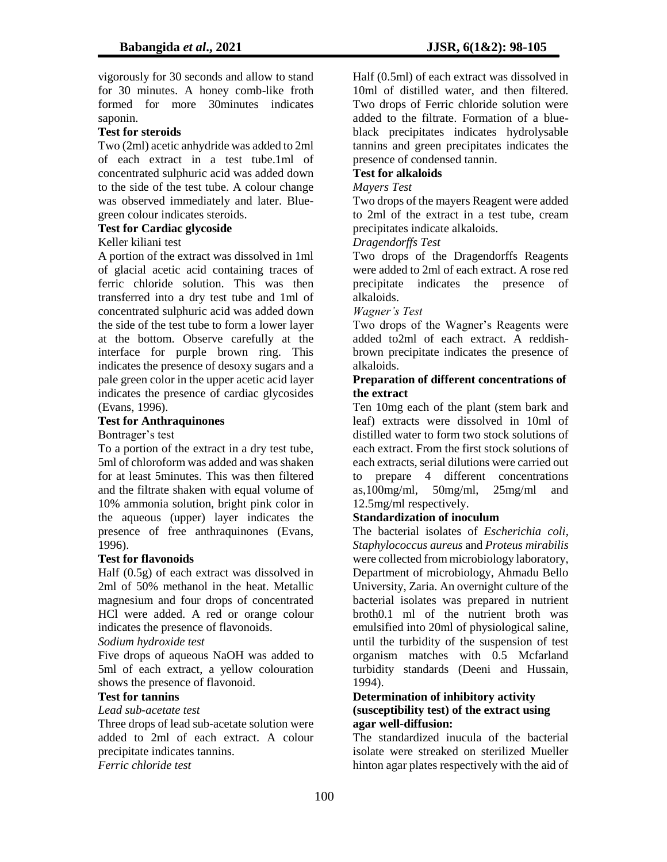vigorously for 30 seconds and allow to stand for 30 minutes. A honey comb-like froth formed for more 30minutes indicates saponin.

## **Test for steroids**

Two (2ml) acetic anhydride was added to 2ml of each extract in a test tube.1ml of concentrated sulphuric acid was added down to the side of the test tube. A colour change was observed immediately and later. Bluegreen colour indicates steroids.

# **Test for Cardiac glycoside**

### Keller kiliani test

A portion of the extract was dissolved in 1ml of glacial acetic acid containing traces of ferric chloride solution. This was then transferred into a dry test tube and 1ml of concentrated sulphuric acid was added down the side of the test tube to form a lower layer at the bottom. Observe carefully at the interface for purple brown ring. This indicates the presence of desoxy sugars and a pale green color in the upper acetic acid layer indicates the presence of cardiac glycosides (Evans, 1996).

## **Test for Anthraquinones**

Bontrager's test

To a portion of the extract in a dry test tube, 5ml of chloroform was added and was shaken for at least 5minutes. This was then filtered and the filtrate shaken with equal volume of 10% ammonia solution, bright pink color in the aqueous (upper) layer indicates the presence of free anthraquinones (Evans, 1996).

### **Test for flavonoids**

Half (0.5g) of each extract was dissolved in 2ml of 50% methanol in the heat. Metallic magnesium and four drops of concentrated HCl were added. A red or orange colour indicates the presence of flavonoids.

### *Sodium hydroxide test*

Five drops of aqueous NaOH was added to 5ml of each extract, a yellow colouration shows the presence of flavonoid.

## **Test for tannins**

### *Lead sub-acetate test*

Three drops of lead sub-acetate solution were added to 2ml of each extract. A colour precipitate indicates tannins. *Ferric chloride test* 

Half (0.5ml) of each extract was dissolved in 10ml of distilled water, and then filtered. Two drops of Ferric chloride solution were added to the filtrate. Formation of a blueblack precipitates indicates hydrolysable tannins and green precipitates indicates the presence of condensed tannin.

## **Test for alkaloids**

#### *Mayers Test*

Two drops of the mayers Reagent were added to 2ml of the extract in a test tube, cream precipitates indicate alkaloids.

#### *Dragendorffs Test*

Two drops of the Dragendorffs Reagents were added to 2ml of each extract. A rose red precipitate indicates the presence of alkaloids.

### *Wagner's Test*

Two drops of the Wagner's Reagents were added to2ml of each extract. A reddishbrown precipitate indicates the presence of alkaloids.

#### **Preparation of different concentrations of the extract**

Ten 10mg each of the plant (stem bark and leaf) extracts were dissolved in 10ml of distilled water to form two stock solutions of each extract. From the first stock solutions of each extracts, serial dilutions were carried out to prepare 4 different concentrations as,100mg/ml, 50mg/ml, 25mg/ml and 12.5mg/ml respectively.

### **Standardization of inoculum**

The bacterial isolates of *Escherichia coli*, *Staphylococcus aureus* and *Proteus mirabilis* were collected from microbiology laboratory, Department of microbiology, Ahmadu Bello University, Zaria. An overnight culture of the bacterial isolates was prepared in nutrient broth0.1 ml of the nutrient broth was emulsified into 20ml of physiological saline, until the turbidity of the suspension of test organism matches with 0.5 Mcfarland turbidity standards (Deeni and Hussain, 1994).

### **Determination of inhibitory activity (susceptibility test) of the extract using agar well-diffusion:**

The standardized inucula of the bacterial isolate were streaked on sterilized Mueller hinton agar plates respectively with the aid of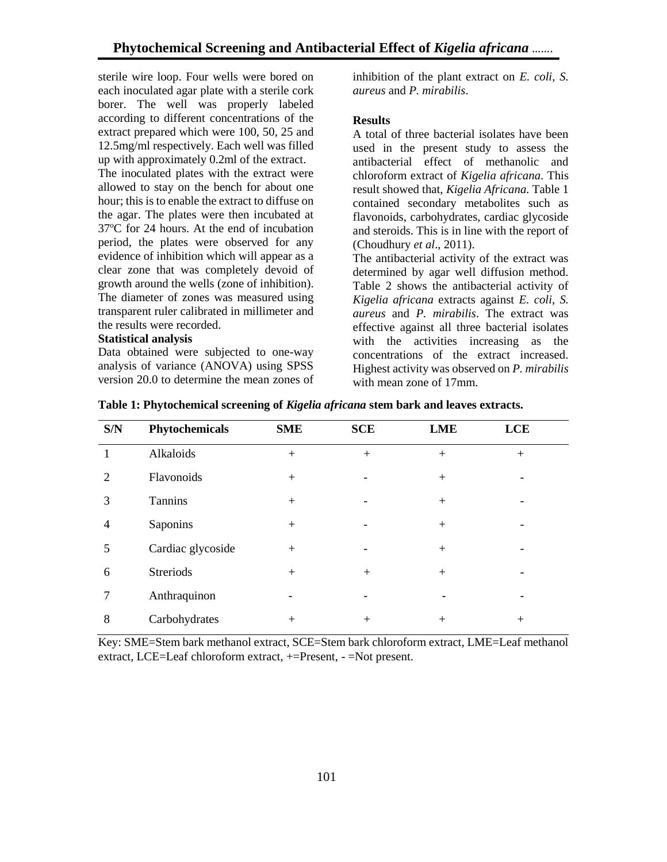sterile wire loop. Four wells were bored on each inoculated agar plate with a sterile cork borer. The well was properly labeled according to different concentrations of the extract prepared which were 100, 50, 25 and 12.5mg/ml respectively. Each well was filled up with approximately 0.2ml of the extract.

The inoculated plates with the extract were allowed to stay on the bench for about one hour; this is to enable the extract to diffuse on the agar. The plates were then incubated at 37<sup>o</sup>C for 24 hours. At the end of incubation period, the plates were observed for any evidence of inhibition which will appear as a clear zone that was completely devoid of growth around the wells (zone of inhibition). The diameter of zones was measured using transparent ruler calibrated in millimeter and the results were recorded.

#### **Statistical analysis**

Data obtained were subjected to one-way analysis of variance (ANOVA) using SPSS version 20.0 to determine the mean zones of

inhibition of the plant extract on *E. coli, S. aureus* and *P. mirabilis*.

#### **Results**

A total of three bacterial isolates have been used in the present study to assess the antibacterial effect of methanolic and chloroform extract of *Kigelia africana*. This result showed that, *Kigelia Africana.* Table 1 contained secondary metabolites such as flavonoids, carbohydrates, cardiac glycoside and steroids. This is in line with the report of (Choudhury *et al*., 2011).

The antibacterial activity of the extract was determined by agar well diffusion method. Table 2 shows the antibacterial activity of *Kigelia africana* extracts against *E. coli*, *S. aureus* and *P. mirabilis*. The extract was effective against all three bacterial isolates with the activities increasing as the concentrations of the extract increased. Highest activity was observed on *P. mirabilis* with mean zone of 17mm.

| S/N | Phytochemicals    | <b>SME</b> | <b>SCE</b> | <b>LME</b> | <b>LCE</b> |  |
|-----|-------------------|------------|------------|------------|------------|--|
|     | Alkaloids         | $+$        | $+$        | $+$        | $+$        |  |
| 2   | Flavonoids        | $+$        |            | $+$        | -          |  |
| 3   | Tannins           | $+$        |            | $+$        |            |  |
| 4   | Saponins          | $+$        |            | $+$        |            |  |
| 5   | Cardiac glycoside | $+$        |            | $+$        |            |  |
| 6   | <b>Streriods</b>  | $+$        | $+$        | $+$        |            |  |
| 7   | Anthraquinon      |            |            |            |            |  |
| 8   | Carbohydrates     | $^{+}$     | $+$        | $+$        | $+$        |  |

**Table 1: Phytochemical screening of** *Kigelia africana* **stem bark and leaves extracts.**

Key: SME=Stem bark methanol extract, SCE=Stem bark chloroform extract, LME=Leaf methanol extract, LCE=Leaf chloroform extract, +=Present, - =Not present.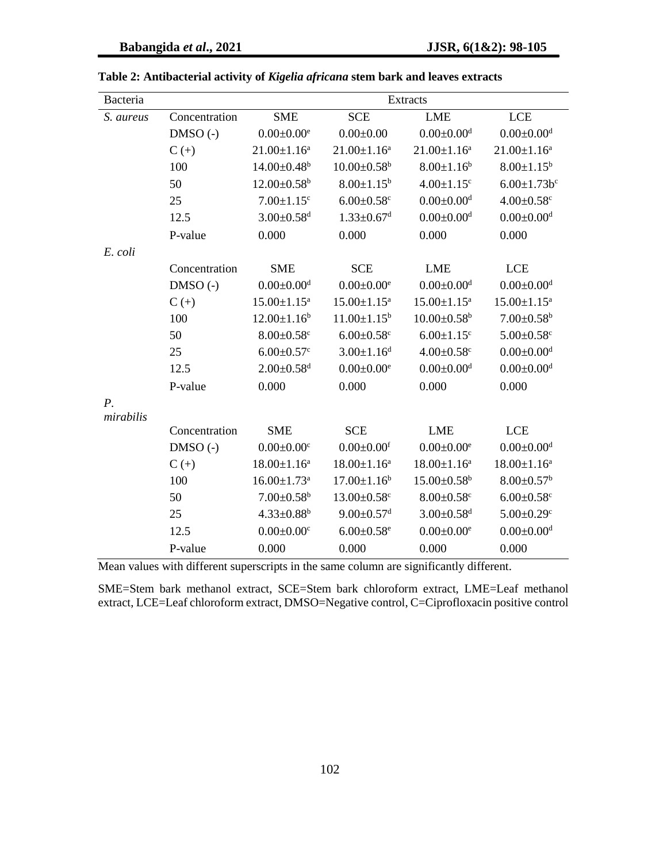| Bacteria                 |               | <b>Extracts</b>               |                               |                               |                              |  |
|--------------------------|---------------|-------------------------------|-------------------------------|-------------------------------|------------------------------|--|
| S. aureus                | Concentration | <b>SME</b>                    | <b>SCE</b>                    | <b>LME</b>                    | <b>LCE</b>                   |  |
|                          | $DMSO(-)$     | $0.00 \pm 0.00^e$             | $0.00 \pm 0.00$               | $0.00 \pm 0.00$ <sup>d</sup>  | $0.00 \pm 0.00$ <sup>d</sup> |  |
|                          | $C (+)$       | $21.00 \pm 1.16^a$            | $21.00 \pm 1.16^a$            | $21.00 \pm 1.16^a$            | $21.00 \pm 1.16^a$           |  |
|                          | 100           | $14.00 \pm 0.48$ <sup>b</sup> | $10.00 \pm 0.58^{\rm b}$      | $8.00 \pm 1.16^b$             | $8.00 \pm 1.15^b$            |  |
|                          | 50            | $12.00 \pm 0.58^b$            | $8.00 \pm 1.15^b$             | $4.00 \pm 1.15$ <sup>c</sup>  | $6.00 \pm 1.73 b^c$          |  |
|                          | 25            | $7.00 \pm 1.15$ <sup>c</sup>  | $6.00 \pm 0.58$ c             | $0.00 \pm 0.00$ <sup>d</sup>  | $4.00 \pm 0.58$ c            |  |
|                          | 12.5          | $3.00 \pm 0.58$ <sup>d</sup>  | $1.33 \pm 0.67$ <sup>d</sup>  | $0.00 \pm 0.00$ <sup>d</sup>  | $0.00 \pm 0.00$ <sup>d</sup> |  |
|                          | P-value       | 0.000                         | 0.000                         | 0.000                         | 0.000                        |  |
| E. coli                  |               |                               |                               |                               |                              |  |
|                          | Concentration | <b>SME</b>                    | <b>SCE</b>                    | <b>LME</b>                    | <b>LCE</b>                   |  |
|                          | $DMSO(-)$     | $0.00 \pm 0.00$ <sup>d</sup>  | $0.00 \pm 0.00$ <sup>e</sup>  | $0.00 \pm 0.00$ <sup>d</sup>  | $0.00 \pm 0.00$ <sup>d</sup> |  |
|                          | $C (+)$       | $15.00 \pm 1.15^a$            | $15.00 \pm 1.15^a$            | $15.00 \pm 1.15^{\text{a}}$   | $15.00 \pm 1.15^a$           |  |
|                          | 100           | $12.00 \pm 1.16^b$            | $11.00 \pm 1.15^b$            | $10.00 \pm 0.58$ <sup>b</sup> | $7.00 \pm 0.58$ <sup>b</sup> |  |
|                          | 50            | $8.00 \pm 0.58$ c             | $6.00 \pm 0.58$ c             | $6.00 \pm 1.15$ <sup>c</sup>  | $5.00 \pm 0.58$ c            |  |
|                          | 25            | $6.00 \pm 0.57$ c             | $3.00 \pm 1.16$ <sup>d</sup>  | $4.00 \pm 0.58$ c             | $0.00 \pm 0.00$ <sup>d</sup> |  |
|                          | 12.5          | $2.00 \pm 0.58$ <sup>d</sup>  | $0.00 \pm 0.00$ <sup>e</sup>  | $0.00 \pm 0.00$ <sup>d</sup>  | $0.00 \pm 0.00$ <sup>d</sup> |  |
|                          | P-value       | 0.000                         | 0.000                         | 0.000                         | 0.000                        |  |
| $P_{\cdot}$<br>mirabilis |               |                               |                               |                               |                              |  |
|                          | Concentration | <b>SME</b>                    | <b>SCE</b>                    | <b>LME</b>                    | <b>LCE</b>                   |  |
|                          | $DMSO(-)$     | $0.00 \pm 0.00$ <sup>c</sup>  | $0.00 \pm 0.00$ <sup>f</sup>  | $0.00 \pm 0.00^e$             | $0.00 \pm 0.00$ <sup>d</sup> |  |
|                          | $C (+)$       | $18.00 \pm 1.16^a$            | $18.00 \pm 1.16^a$            | $18.00 \pm 1.16^a$            | $18.00 \pm 1.16^a$           |  |
|                          | 100           | $16.00 \pm 1.73$ <sup>a</sup> | $17.00 \pm 1.16^b$            | $15.00 \pm 0.58$ <sup>b</sup> | $8.00 \pm 0.57$ <sup>b</sup> |  |
|                          | 50            | $7.00 \pm 0.58^b$             | $13.00 \pm 0.58$ <sup>c</sup> | $8.00 \pm 0.58$ c             | $6.00 \pm 0.58$ <sup>c</sup> |  |
|                          | 25            | $4.33 \pm 0.88^b$             | $9.00 \pm 0.57$ <sup>d</sup>  | $3.00 \pm 0.58$ <sup>d</sup>  | $5.00 \pm 0.29$ <sup>c</sup> |  |
|                          | 12.5          | $0.00 \pm 0.00$ <sup>c</sup>  | $6.00 \pm 0.58$ <sup>e</sup>  | $0.00 \pm 0.00^e$             | $0.00 \pm 0.00$ <sup>d</sup> |  |
|                          | P-value       | 0.000                         | 0.000                         | 0.000                         | 0.000                        |  |

**Table 2: Antibacterial activity of** *Kigelia africana* **stem bark and leaves extracts** 

Mean values with different superscripts in the same column are significantly different.

SME=Stem bark methanol extract, SCE=Stem bark chloroform extract, LME=Leaf methanol extract, LCE=Leaf chloroform extract, DMSO=Negative control, C=Ciprofloxacin positive control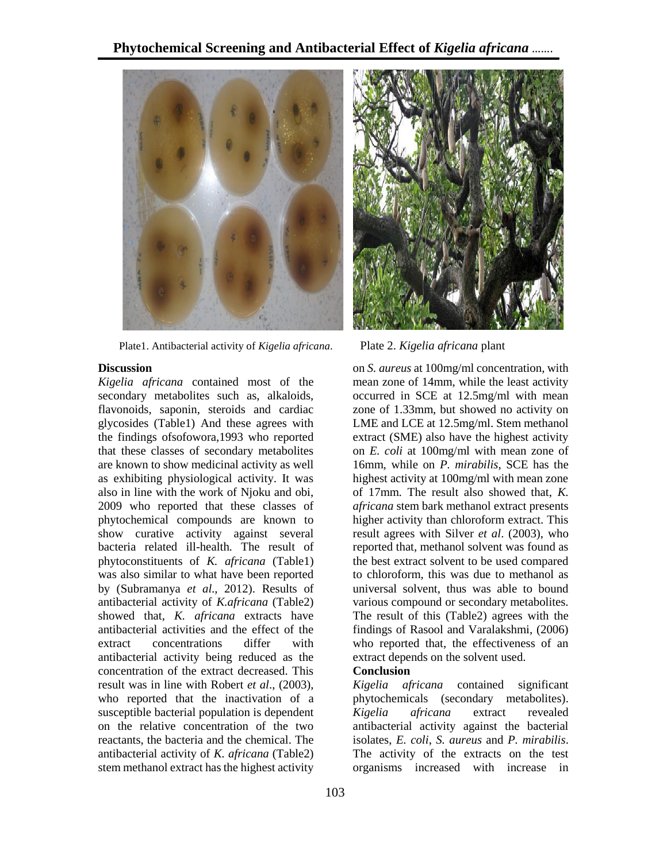

Plate1. Antibacterial activity of *Kigelia africana*. Plate 2. *Kigelia africana* plant

#### **Discussion**

*Kigelia africana* contained most of the secondary metabolites such as, alkaloids, flavonoids, saponin, steroids and cardiac glycosides (Table1) And these agrees with the findings ofsofowora,1993 who reported that these classes of secondary metabolites are known to show medicinal activity as well as exhibiting physiological activity. It was also in line with the work of Njoku and obi, 2009 who reported that these classes of phytochemical compounds are known to show curative activity against several bacteria related ill-health. The result of phytoconstituents of *K. africana* (Table1) was also similar to what have been reported by (Subramanya *et al*., 2012). Results of antibacterial activity of *K.africana* (Table2) showed that, *K. africana* extracts have antibacterial activities and the effect of the extract concentrations differ with antibacterial activity being reduced as the concentration of the extract decreased. This result was in line with Robert *et al*., (2003), who reported that the inactivation of a susceptible bacterial population is dependent on the relative concentration of the two reactants, the bacteria and the chemical. The antibacterial activity of *K. africana* (Table2) stem methanol extract has the highest activity



on *S. aureus* at 100mg/ml concentration, with mean zone of 14mm, while the least activity occurred in SCE at 12.5mg/ml with mean zone of 1.33mm, but showed no activity on LME and LCE at 12.5mg/ml. Stem methanol extract (SME) also have the highest activity on *E. coli* at 100mg/ml with mean zone of 16mm, while on *P. mirabilis*, SCE has the highest activity at 100mg/ml with mean zone of 17mm. The result also showed that, *K. africana* stem bark methanol extract presents higher activity than chloroform extract. This result agrees with Silver *et al*. (2003), who reported that, methanol solvent was found as the best extract solvent to be used compared to chloroform, this was due to methanol as universal solvent, thus was able to bound various compound or secondary metabolites. The result of this (Table2) agrees with the findings of Rasool and Varalakshmi, (2006) who reported that, the effectiveness of an extract depends on the solvent used.

## **Conclusion**

*Kigelia africana* contained significant phytochemicals (secondary metabolites). *Kigelia africana* extract revealed antibacterial activity against the bacterial isolates, *E. coli*, *S. aureus* and *P. mirabilis*. The activity of the extracts on the test organisms increased with increase in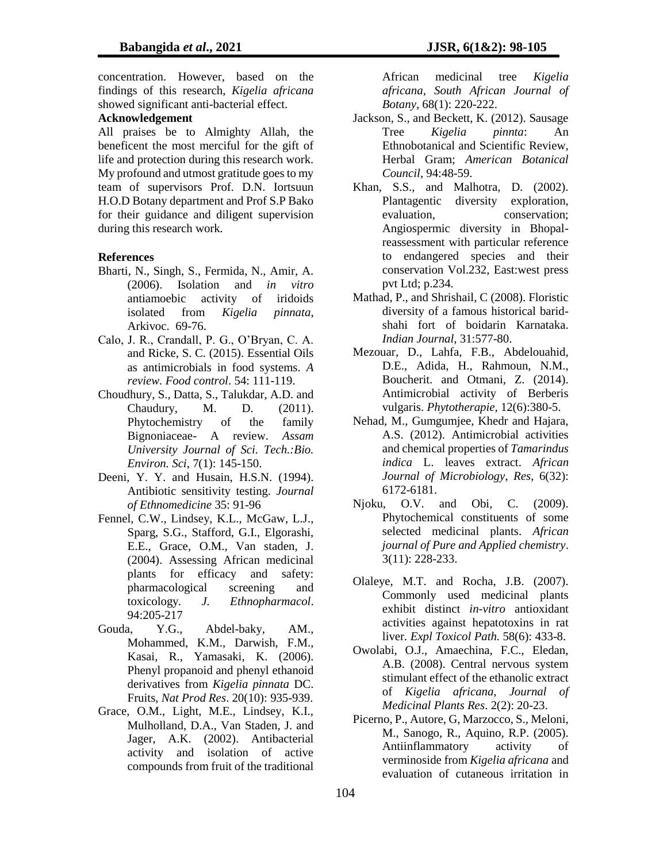concentration. However, based on the findings of this research, *Kigelia africana*  showed significant anti-bacterial effect.

# **Acknowledgement**

All praises be to Almighty Allah, the beneficent the most merciful for the gift of life and protection during this research work. My profound and utmost gratitude goes to my team of supervisors Prof. D.N. Iortsuun H.O.D Botany department and Prof S.P Bako for their guidance and diligent supervision during this research work.

#### **References**

- Bharti, N., Singh, S., Fermida, N., Amir, A. (2006). Isolation and *in vitro*  antiamoebic activity of iridoids isolated from *Kigelia pinnata*, Arkivoc. 69-76.
- Calo, J. R., Crandall, P. G., O'Bryan, C. A. and Ricke, S. C. (2015). Essential Oils as antimicrobials in food systems. *A review. Food control*. 54: 111-119.
- Choudhury, S., Datta, S., Talukdar, A.D. and Chaudury, M. D. (2011). Phytochemistry of the family Bignoniaceae- A review. *Assam University Journal of Sci. Tech.:Bio. Environ. Sci*, 7(1): 145-150.
- Deeni, Y. Y. and Husain, H.S.N. (1994). Antibiotic sensitivity testing. *Journal of Ethnomedicine* 35: 91-96
- Fennel, C.W., Lindsey, K.L., McGaw, L.J., Sparg, S.G., Stafford, G.I., Elgorashi, E.E., Grace, O.M., Van staden, J. (2004). Assessing African medicinal plants for efficacy and safety: pharmacological screening and toxicology*. J. Ethnopharmacol*. 94:205-217
- Gouda, Y.G., Abdel-baky, AM., Mohammed, K.M., Darwish, F.M., Kasai, R., Yamasaki, K. (2006). Phenyl propanoid and phenyl ethanoid derivatives from *Kigelia pinnata* DC. Fruits, *Nat Prod Res*. 20(10): 935-939.
- Grace, O.M., Light, M.E., Lindsey, K.I., Mulholland, D.A., Van Staden, J. and Jager, A.K. (2002). Antibacterial activity and isolation of active compounds from fruit of the traditional

African medicinal tree *Kigelia africana*, *South African Journal of Botany*, 68(1): 220-222.

- Jackson, S., and Beckett, K. (2012). Sausage Tree *Kigelia pinnta*: An Ethnobotanical and Scientific Review, Herbal Gram; *American Botanical Council*, 94:48-59.
- Khan, S.S., and Malhotra, D. (2002). Plantagentic diversity exploration, evaluation, conservation; Angiospermic diversity in Bhopalreassessment with particular reference to endangered species and their conservation Vol.232, East:west press pvt Ltd; p.234.
- Mathad, P., and Shrishail, C (2008). Floristic diversity of a famous historical baridshahi fort of boidarin Karnataka. *Indian Journal*, 31:577-80.
- Mezouar, D., Lahfa, F.B., Abdelouahid, D.E., Adida, H., Rahmoun, N.M., Boucherit. and Otmani, Z. (2014). Antimicrobial activity of Berberis vulgaris. *Phytotherapie,* 12(6):380-5.
- Nehad, M., Gumgumjee, Khedr and Hajara, A.S. (2012). Antimicrobial activities and chemical properties of *Tamarindus indica* L. leaves extract. *African Journal of Microbiology*, *Res*, 6(32): 6172-6181.
- Njoku, O.V. and Obi, C. (2009). Phytochemical constituents of some selected medicinal plants. *African journal of Pure and Applied chemistry*. 3(11): 228-233.
- Olaleye, M.T. and Rocha, J.B. (2007). Commonly used medicinal plants exhibit distinct *in-vitro* antioxidant activities against hepatotoxins in rat liver*. Expl Toxicol Path.* 58(6): 433-8.
- Owolabi, O.J., Amaechina, F.C., Eledan, A.B. (2008). Central nervous system stimulant effect of the ethanolic extract of *Kigelia africana, Journal of Medicinal Plants Res*. 2(2): 20-23.
- Picerno, P., Autore, G, Marzocco, S., Meloni, M., Sanogo, R., Aquino, R.P. (2005). Antiinflammatory activity of verminoside from *Kigelia africana* and evaluation of cutaneous irritation in